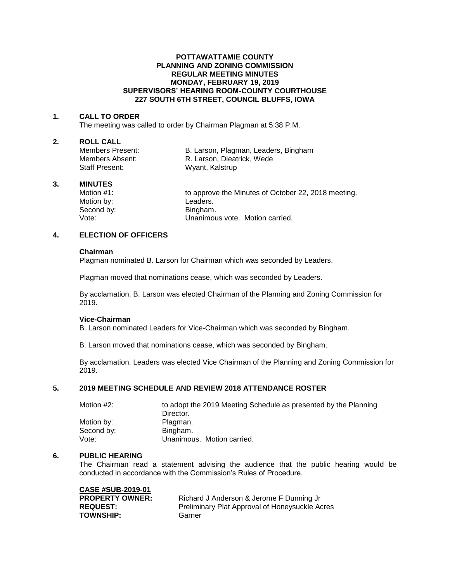## **POTTAWATTAMIE COUNTY PLANNING AND ZONING COMMISSION REGULAR MEETING MINUTES MONDAY, FEBRUARY 19, 2019 SUPERVISORS' HEARING ROOM-COUNTY COURTHOUSE 227 SOUTH 6TH STREET, COUNCIL BLUFFS, IOWA**

## **1. CALL TO ORDER**

The meeting was called to order by Chairman Plagman at 5:38 P.M.

#### **2. ROLL CALL**

Staff Present: Wyant, Kalstrup

Members Present: B. Larson, Plagman, Leaders, Bingham<br>Members Absent: R. Larson, Dieatrick, Wede R. Larson, Dieatrick, Wede

## **3. MINUTES**

Motion by: Leaders. Second by: Bingham.

Motion #1: **to approve the Minutes of October 22, 2018 meeting.** Vote: Unanimous vote. Motion carried.

# **4. ELECTION OF OFFICERS**

#### **Chairman**

Plagman nominated B. Larson for Chairman which was seconded by Leaders.

Plagman moved that nominations cease, which was seconded by Leaders.

By acclamation, B. Larson was elected Chairman of the Planning and Zoning Commission for 2019.

# **Vice-Chairman**

B. Larson nominated Leaders for Vice-Chairman which was seconded by Bingham.

B. Larson moved that nominations cease, which was seconded by Bingham.

By acclamation, Leaders was elected Vice Chairman of the Planning and Zoning Commission for 2019.

# **5. 2019 MEETING SCHEDULE AND REVIEW 2018 ATTENDANCE ROSTER**

| Motion #2: | to adopt the 2019 Meeting Schedule as presented by the Planning |
|------------|-----------------------------------------------------------------|
|            | Director.                                                       |
| Motion by: | Plagman.                                                        |
| Second by: | Bingham.                                                        |
| Vote:      | Unanimous. Motion carried.                                      |

## **6. PUBLIC HEARING**

The Chairman read a statement advising the audience that the public hearing would be conducted in accordance with the Commission's Rules of Procedure.

| <b>CASE #SUB-2019-01</b> |
|--------------------------|
| <b>PROPERTY OWNER:</b>   |
| <b>REQUEST:</b>          |
| <b>TOWNSHIP:</b>         |

Richard J Anderson & Jerome F Dunning Jr Preliminary Plat Approval of Honeysuckle Acres Garner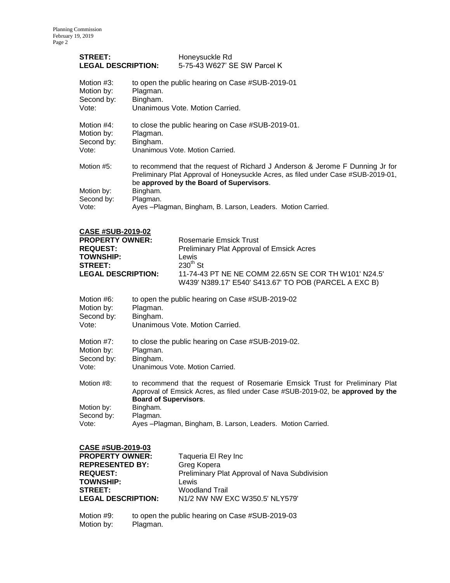| <b>STREET:</b><br><b>LEGAL DESCRIPTION:</b>     |                                                                                                                                                                                                                                                                                                        | Honeysuckle Rd<br>5-75-43 W627' SE SW Parcel K |
|-------------------------------------------------|--------------------------------------------------------------------------------------------------------------------------------------------------------------------------------------------------------------------------------------------------------------------------------------------------------|------------------------------------------------|
| Motion #3:                                      | to open the public hearing on Case #SUB-2019-01                                                                                                                                                                                                                                                        |                                                |
| Motion by:                                      | Plagman.                                                                                                                                                                                                                                                                                               |                                                |
| Second by:                                      | Bingham.                                                                                                                                                                                                                                                                                               |                                                |
| Vote:                                           | Unanimous Vote, Motion Carried.                                                                                                                                                                                                                                                                        |                                                |
| Motion $#4$ :                                   | to close the public hearing on Case #SUB-2019-01.                                                                                                                                                                                                                                                      |                                                |
| Motion by:                                      | Plagman.                                                                                                                                                                                                                                                                                               |                                                |
| Second by:                                      | Bingham.                                                                                                                                                                                                                                                                                               |                                                |
| Vote:                                           | Unanimous Vote, Motion Carried.                                                                                                                                                                                                                                                                        |                                                |
| Motion #5:<br>Motion by:<br>Second by:<br>Vote: | to recommend that the request of Richard J Anderson & Jerome F Dunning Jr for<br>Preliminary Plat Approval of Honeysuckle Acres, as filed under Case #SUB-2019-01,<br>be approved by the Board of Supervisors.<br>Bingham.<br>Plagman.<br>Ayes - Plagman, Bingham, B. Larson, Leaders. Motion Carried. |                                                |

| <b>CASE #SUB-2019-02</b>  |          |                                                       |
|---------------------------|----------|-------------------------------------------------------|
| <b>PROPERTY OWNER:</b>    |          | <b>Rosemarie Emsick Trust</b>                         |
| <b>REQUEST:</b>           |          | Preliminary Plat Approval of Emsick Acres             |
| <b>TOWNSHIP:</b>          |          | Lewis                                                 |
| <b>STREET:</b>            |          | $230^{th}$ St                                         |
| <b>LEGAL DESCRIPTION:</b> |          | 11-74-43 PT NE NE COMM 22.65'N SE COR TH W101' N24.5' |
|                           |          | W439' N389.17' E540' S413.67' TO POB (PARCEL A EXC B) |
| Motion #6:                |          | to open the public hearing on Case #SUB-2019-02       |
| Motion by:                | Plagman. |                                                       |

| <b>IVIULIUII DY.</b> | Fiaghlan.                                                                                                                                                                                      |
|----------------------|------------------------------------------------------------------------------------------------------------------------------------------------------------------------------------------------|
| Second by:           | Bingham.                                                                                                                                                                                       |
| Vote:                | Unanimous Vote. Motion Carried.                                                                                                                                                                |
| Motion #7:           | to close the public hearing on Case #SUB-2019-02.                                                                                                                                              |
| Motion by:           | Plagman.                                                                                                                                                                                       |
| Second by:           | Bingham.                                                                                                                                                                                       |
| Vote:                | Unanimous Vote. Motion Carried.                                                                                                                                                                |
| Motion #8:           | to recommend that the request of Rosemarie Emsick Trust for Preliminary Plat<br>Approval of Emsick Acres, as filed under Case #SUB-2019-02, be approved by the<br><b>Board of Supervisors.</b> |
| Motion by:           | Bingham.                                                                                                                                                                                       |
| Second by:           | Plagman.                                                                                                                                                                                       |

Vote: Ayes –Plagman, Bingham, B. Larson, Leaders. Motion Carried.

| <b>CASE #SUB-2019-03</b>  |                                               |
|---------------------------|-----------------------------------------------|
| <b>PROPERTY OWNER:</b>    | Taqueria El Rey Inc                           |
| <b>REPRESENTED BY:</b>    | Greg Kopera                                   |
| <b>REQUEST:</b>           | Preliminary Plat Approval of Nava Subdivision |
| <b>TOWNSHIP:</b>          | Lewis                                         |
| <b>STREET:</b>            | <b>Woodland Trail</b>                         |
| <b>LEGAL DESCRIPTION:</b> | N1/2 NW NW EXC W350.5' NLY579'                |

Motion #9: to open the public hearing on Case #SUB-2019-03<br>Motion by: Plagman. Motion by: